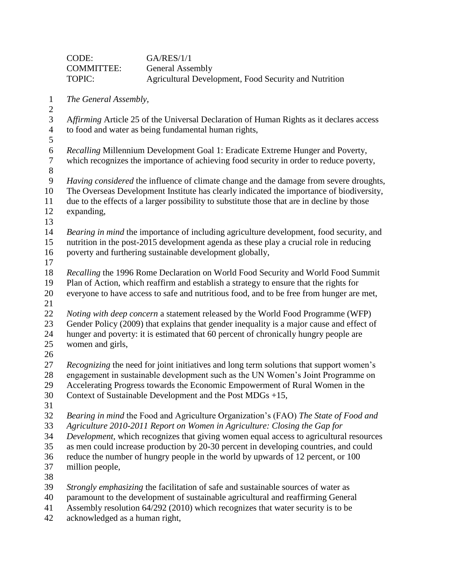|                                         | CODE:                                                                                                                                                                    | <b>GA/RES/1/1</b>                                                                              |  |
|-----------------------------------------|--------------------------------------------------------------------------------------------------------------------------------------------------------------------------|------------------------------------------------------------------------------------------------|--|
|                                         | <b>COMMITTEE:</b>                                                                                                                                                        | <b>General Assembly</b>                                                                        |  |
|                                         | TOPIC:                                                                                                                                                                   | Agricultural Development, Food Security and Nutrition                                          |  |
| $\mathbf{1}$                            | The General Assembly,                                                                                                                                                    |                                                                                                |  |
| $\boldsymbol{2}$                        |                                                                                                                                                                          |                                                                                                |  |
| $\mathfrak{Z}$<br>$\overline{4}$<br>5   | Affirming Article 25 of the Universal Declaration of Human Rights as it declares access<br>to food and water as being fundamental human rights,                          |                                                                                                |  |
| $\sqrt{6}$<br>$\boldsymbol{7}$<br>$8\,$ | Recalling Millennium Development Goal 1: Eradicate Extreme Hunger and Poverty,<br>which recognizes the importance of achieving food security in order to reduce poverty, |                                                                                                |  |
| 9                                       | Having considered the influence of climate change and the damage from severe droughts,                                                                                   |                                                                                                |  |
| 10                                      | The Overseas Development Institute has clearly indicated the importance of biodiversity,                                                                                 |                                                                                                |  |
| 11<br>12                                | due to the effects of a larger possibility to substitute those that are in decline by those<br>expanding,                                                                |                                                                                                |  |
| 13                                      |                                                                                                                                                                          |                                                                                                |  |
| 14                                      |                                                                                                                                                                          | Bearing in mind the importance of including agriculture development, food security, and        |  |
| 15                                      | nutrition in the post-2015 development agenda as these play a crucial role in reducing                                                                                   |                                                                                                |  |
| 16                                      | poverty and furthering sustainable development globally,                                                                                                                 |                                                                                                |  |
| 17                                      |                                                                                                                                                                          |                                                                                                |  |
| 18                                      | Recalling the 1996 Rome Declaration on World Food Security and World Food Summit                                                                                         |                                                                                                |  |
| 19                                      | Plan of Action, which reaffirm and establish a strategy to ensure that the rights for                                                                                    |                                                                                                |  |
| 20                                      |                                                                                                                                                                          | everyone to have access to safe and nutritious food, and to be free from hunger are met,       |  |
| 21                                      |                                                                                                                                                                          |                                                                                                |  |
| 22                                      | <i>Noting with deep concern</i> a statement released by the World Food Programme (WFP)                                                                                   |                                                                                                |  |
| 23                                      |                                                                                                                                                                          | Gender Policy (2009) that explains that gender inequality is a major cause and effect of       |  |
| 24                                      |                                                                                                                                                                          | hunger and poverty: it is estimated that 60 percent of chronically hungry people are           |  |
| 25<br>26                                | women and girls,                                                                                                                                                         |                                                                                                |  |
| 27                                      |                                                                                                                                                                          | <i>Recognizing</i> the need for joint initiatives and long term solutions that support women's |  |
| 28                                      |                                                                                                                                                                          | engagement in sustainable development such as the UN Women's Joint Programme on                |  |
| 29                                      |                                                                                                                                                                          | Accelerating Progress towards the Economic Empowerment of Rural Women in the                   |  |
| 30                                      |                                                                                                                                                                          | Context of Sustainable Development and the Post $MDGs +15$ ,                                   |  |
| 31                                      |                                                                                                                                                                          |                                                                                                |  |
| 32                                      |                                                                                                                                                                          | Bearing in mind the Food and Agriculture Organization's (FAO) The State of Food and            |  |
| 33                                      |                                                                                                                                                                          | Agriculture 2010-2011 Report on Women in Agriculture: Closing the Gap for                      |  |
| 34                                      |                                                                                                                                                                          | Development, which recognizes that giving women equal access to agricultural resources         |  |
| 35                                      |                                                                                                                                                                          | as men could increase production by 20-30 percent in developing countries, and could           |  |
| 36                                      |                                                                                                                                                                          | reduce the number of hungry people in the world by upwards of 12 percent, or 100               |  |
| 37                                      | million people,                                                                                                                                                          |                                                                                                |  |
| 38                                      |                                                                                                                                                                          |                                                                                                |  |
| 39                                      |                                                                                                                                                                          | Strongly emphasizing the facilitation of safe and sustainable sources of water as              |  |
| 40                                      | paramount to the development of sustainable agricultural and reaffirming General                                                                                         |                                                                                                |  |
| 41                                      | Assembly resolution 64/292 (2010) which recognizes that water security is to be                                                                                          |                                                                                                |  |

acknowledged as a human right,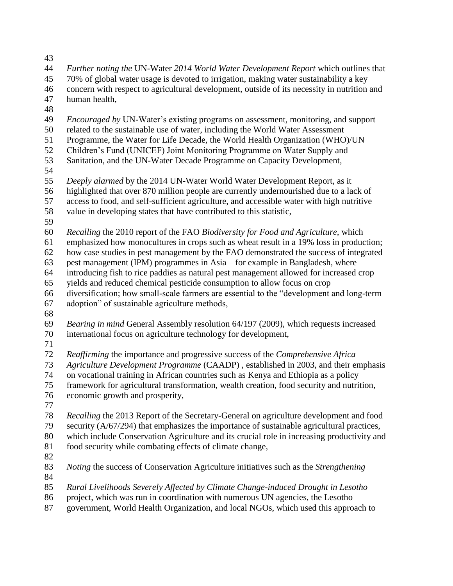- 
- *Further noting the* UN-Water *2014 World Water Development Report* which outlines that 70% of global water usage is devoted to irrigation, making water sustainability a key concern with respect to agricultural development, outside of its necessity in nutrition and human health, *Encouraged by* UN-Water's existing programs on assessment, monitoring, and support related to the sustainable use of water, including the World Water Assessment Programme, the Water for Life Decade, the World Health Organization (WHO)/UN Children's Fund (UNICEF) Joint Monitoring Programme on Water Supply and Sanitation, and the UN-Water Decade Programme on Capacity Development, *Deeply alarmed* by the 2014 UN-Water World Water Development Report, as it highlighted that over 870 million people are currently undernourished due to a lack of access to food, and self-sufficient agriculture, and accessible water with high nutritive value in developing states that have contributed to this statistic, *Recalling* the 2010 report of the FAO *Biodiversity for Food and Agriculture,* which emphasized how monocultures in crops such as wheat result in a 19% loss in production; how case studies in pest management by the FAO demonstrated the success of integrated pest management (IPM) programmes in Asia – for example in Bangladesh, where introducing fish to rice paddies as natural pest management allowed for increased crop yields and reduced chemical pesticide consumption to allow focus on crop diversification; how small-scale farmers are essential to the "development and long-term adoption" of sustainable agriculture methods, *Bearing in mind* General Assembly resolution 64/197 (2009), which requests increased international focus on agriculture technology for development, *Reaffirming* the importance and progressive success of the *Comprehensive Africa Agriculture Development Programme* (CAADP) , established in 2003, and their emphasis on vocational training in African countries such as Kenya and Ethiopia as a policy framework for agricultural transformation, wealth creation, food security and nutrition, economic growth and prosperity, *Recalling* the 2013 Report of the Secretary-General on agriculture development and food security (A/67/294) that emphasizes the importance of sustainable agricultural practices, which include Conservation Agriculture and its crucial role in increasing productivity and food security while combating effects of climate change, *Noting* the success of Conservation Agriculture initiatives such as the *Strengthening Rural Livelihoods Severely Affected by Climate Change-induced Drought in Lesotho*  project, which was run in coordination with numerous UN agencies, the Lesotho government, World Health Organization, and local NGOs, which used this approach to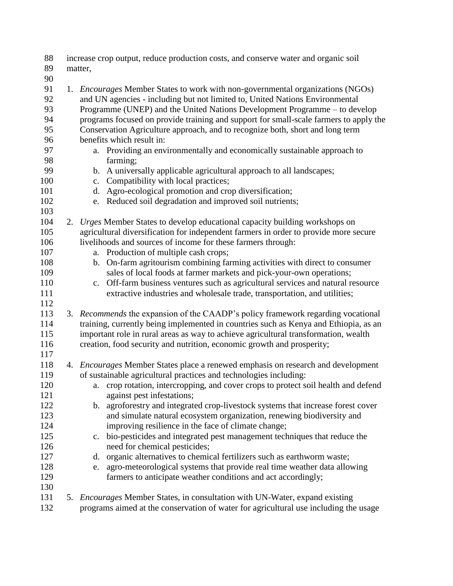| 88<br>89       | increase crop output, reduce production costs, and conserve water and organic soil<br>matter,                                                                                                                                                       |  |  |
|----------------|-----------------------------------------------------------------------------------------------------------------------------------------------------------------------------------------------------------------------------------------------------|--|--|
| 90             |                                                                                                                                                                                                                                                     |  |  |
| 91<br>92<br>93 | 1. <i>Encourages</i> Member States to work with non-governmental organizations (NGOs)<br>and UN agencies - including but not limited to, United Nations Environmental<br>Programme (UNEP) and the United Nations Development Programme – to develop |  |  |
| 94             | programs focused on provide training and support for small-scale farmers to apply the                                                                                                                                                               |  |  |
| 95             | Conservation Agriculture approach, and to recognize both, short and long term                                                                                                                                                                       |  |  |
| 96             | benefits which result in:                                                                                                                                                                                                                           |  |  |
| 97             | a. Providing an environmentally and economically sustainable approach to                                                                                                                                                                            |  |  |
| 98             | farming;                                                                                                                                                                                                                                            |  |  |
| 99             | b. A universally applicable agricultural approach to all landscapes;                                                                                                                                                                                |  |  |
| 100            | Compatibility with local practices;<br>c.                                                                                                                                                                                                           |  |  |
| 101            | Agro-ecological promotion and crop diversification;<br>d.                                                                                                                                                                                           |  |  |
| 102            | Reduced soil degradation and improved soil nutrients;<br>e.                                                                                                                                                                                         |  |  |
| 103            |                                                                                                                                                                                                                                                     |  |  |
| 104            | 2. Urges Member States to develop educational capacity building workshops on                                                                                                                                                                        |  |  |
| 105            | agricultural diversification for independent farmers in order to provide more secure                                                                                                                                                                |  |  |
| 106            | livelihoods and sources of income for these farmers through:                                                                                                                                                                                        |  |  |
| 107            | a. Production of multiple cash crops;                                                                                                                                                                                                               |  |  |
| 108            | On-farm agritourism combining farming activities with direct to consumer<br>$\mathbf{b}$ .                                                                                                                                                          |  |  |
| 109            | sales of local foods at farmer markets and pick-your-own operations;                                                                                                                                                                                |  |  |
| 110            | c. Off-farm business ventures such as agricultural services and natural resource                                                                                                                                                                    |  |  |
| 111<br>112     | extractive industries and wholesale trade, transportation, and utilities;                                                                                                                                                                           |  |  |
| 113            | 3. Recommends the expansion of the CAADP's policy framework regarding vocational                                                                                                                                                                    |  |  |
| 114            | training, currently being implemented in countries such as Kenya and Ethiopia, as an                                                                                                                                                                |  |  |
| 115            | important role in rural areas as way to achieve agricultural transformation, wealth                                                                                                                                                                 |  |  |
| 116            | creation, food security and nutrition, economic growth and prosperity;                                                                                                                                                                              |  |  |
| 117            |                                                                                                                                                                                                                                                     |  |  |
| 118            | 4. Encourages Member States place a renewed emphasis on research and development                                                                                                                                                                    |  |  |
| 119            | of sustainable agricultural practices and technologies including:                                                                                                                                                                                   |  |  |
| 120            | a. crop rotation, intercropping, and cover crops to protect soil health and defend                                                                                                                                                                  |  |  |
| 121            | against pest infestations;                                                                                                                                                                                                                          |  |  |
| 122            | b. agroforestry and integrated crop-livestock systems that increase forest cover                                                                                                                                                                    |  |  |
| 123            | and simulate natural ecosystem organization, renewing biodiversity and                                                                                                                                                                              |  |  |
| 124            | improving resilience in the face of climate change;                                                                                                                                                                                                 |  |  |
| 125            | bio-pesticides and integrated pest management techniques that reduce the<br>$\mathbf{c}$ .                                                                                                                                                          |  |  |
| 126            | need for chemical pesticides;                                                                                                                                                                                                                       |  |  |
| 127            | organic alternatives to chemical fertilizers such as earthworm waste;<br>d.                                                                                                                                                                         |  |  |
| 128            | agro-meteorological systems that provide real time weather data allowing<br>e.                                                                                                                                                                      |  |  |
| 129            | farmers to anticipate weather conditions and act accordingly;                                                                                                                                                                                       |  |  |
| 130            |                                                                                                                                                                                                                                                     |  |  |
| 131            | 5. <i>Encourages</i> Member States, in consultation with UN-Water, expand existing                                                                                                                                                                  |  |  |
| 132            | programs aimed at the conservation of water for agricultural use including the usage                                                                                                                                                                |  |  |